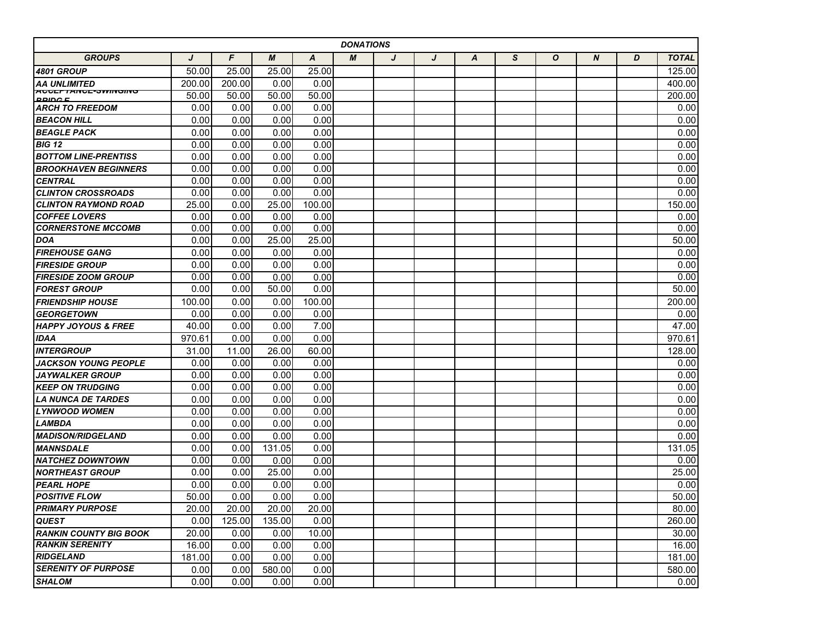| <b>DONATIONS</b>                             |        |        |        |                  |   |   |   |   |   |              |                  |   |              |
|----------------------------------------------|--------|--------|--------|------------------|---|---|---|---|---|--------------|------------------|---|--------------|
| <b>GROUPS</b>                                | J      | F      | M      | $\boldsymbol{A}$ | M | J | J | A | S | $\mathbf{o}$ | $\boldsymbol{N}$ | D | <b>TOTAL</b> |
| <b>4801 GROUP</b>                            | 50.00  | 25.00  | 25.00  | 25.00            |   |   |   |   |   |              |                  |   | 125.00       |
| AA UNLIMITED                                 | 200.00 | 200.00 | 0.00   | 0.00             |   |   |   |   |   |              |                  |   | 400.00       |
| <b>AUGEFTANCE-SWINGING</b><br><b>DDIDO E</b> | 50.00  | 50.00  | 50.00  | 50.00            |   |   |   |   |   |              |                  |   | 200.00       |
| <b>ARCH TO FREEDOM</b>                       | 0.00   | 0.00   | 0.00   | 0.00             |   |   |   |   |   |              |                  |   | 0.00         |
| <b>BEACON HILL</b>                           | 0.00   | 0.00   | 0.00   | 0.00             |   |   |   |   |   |              |                  |   | 0.00         |
| <b>BEAGLE PACK</b>                           | 0.00   | 0.00   | 0.00   | 0.00             |   |   |   |   |   |              |                  |   | 0.00         |
| <b>BIG 12</b>                                | 0.00   | 0.00   | 0.00   | 0.00             |   |   |   |   |   |              |                  |   | 0.00         |
| <b>BOTTOM LINE-PRENTISS</b>                  | 0.00   | 0.00   | 0.00   | 0.00             |   |   |   |   |   |              |                  |   | 0.00         |
| <b>BROOKHAVEN BEGINNERS</b>                  | 0.00   | 0.00   | 0.00   | 0.00             |   |   |   |   |   |              |                  |   | 0.00         |
| <b>CENTRAL</b>                               | 0.00   | 0.00   | 0.00   | 0.00             |   |   |   |   |   |              |                  |   | 0.00         |
| <b>CLINTON CROSSROADS</b>                    | 0.00   | 0.00   | 0.00   | 0.00             |   |   |   |   |   |              |                  |   | 0.00         |
| <b>CLINTON RAYMOND ROAD</b>                  | 25.00  | 0.00   | 25.00  | 100.00           |   |   |   |   |   |              |                  |   | 150.00       |
| <b>COFFEE LOVERS</b>                         | 0.00   | 0.00   | 0.00   | 0.00             |   |   |   |   |   |              |                  |   | 0.00         |
| <b>CORNERSTONE MCCOMB</b>                    | 0.00   | 0.00   | 0.00   | 0.00             |   |   |   |   |   |              |                  |   | 0.00         |
| DOA                                          | 0.00   | 0.00   | 25.00  | 25.00            |   |   |   |   |   |              |                  |   | 50.00        |
| <b>FIREHOUSE GANG</b>                        | 0.00   | 0.00   | 0.00   | 0.00             |   |   |   |   |   |              |                  |   | 0.00         |
| <b>FIRESIDE GROUP</b>                        | 0.00   | 0.00   | 0.00   | 0.00             |   |   |   |   |   |              |                  |   | 0.00         |
| <b>FIRESIDE ZOOM GROUP</b>                   | 0.00   | 0.00   | 0.00   | 0.00             |   |   |   |   |   |              |                  |   | 0.00         |
| <b>FOREST GROUP</b>                          | 0.00   | 0.00   | 50.00  | 0.00             |   |   |   |   |   |              |                  |   | 50.00        |
| <b>FRIENDSHIP HOUSE</b>                      | 100.00 | 0.00   | 0.00   | 100.00           |   |   |   |   |   |              |                  |   | 200.00       |
| <b>GEORGETOWN</b>                            | 0.00   | 0.00   | 0.00   | 0.00             |   |   |   |   |   |              |                  |   | 0.00         |
| <b>HAPPY JOYOUS &amp; FREE</b>               | 40.00  | 0.00   | 0.00   | 7.00             |   |   |   |   |   |              |                  |   | 47.00        |
| <b>IDAA</b>                                  | 970.61 | 0.00   | 0.00   | 0.00             |   |   |   |   |   |              |                  |   | 970.61       |
| <b>INTERGROUP</b>                            | 31.00  | 11.00  | 26.00  | 60.00            |   |   |   |   |   |              |                  |   | 128.00       |
| JACKSON YOUNG PEOPLE                         | 0.00   | 0.00   | 0.00   | 0.00             |   |   |   |   |   |              |                  |   | 0.00         |
| JAYWALKER GROUP                              | 0.00   | 0.00   | 0.00   | 0.00             |   |   |   |   |   |              |                  |   | 0.00         |
| <b>KEEP ON TRUDGING</b>                      | 0.00   | 0.00   | 0.00   | 0.00             |   |   |   |   |   |              |                  |   | 0.00         |
| LA NUNCA DE TARDES                           | 0.00   | 0.00   | 0.00   | 0.00             |   |   |   |   |   |              |                  |   | 0.00         |
| <b>LYNWOOD WOMEN</b>                         | 0.00   | 0.00   | 0.00   | 0.00             |   |   |   |   |   |              |                  |   | 0.00         |
| <b>LAMBDA</b>                                | 0.00   | 0.00   | 0.00   | 0.00             |   |   |   |   |   |              |                  |   | 0.00         |
| <b>MADISON/RIDGELAND</b>                     | 0.00   | 0.00   | 0.00   | 0.00             |   |   |   |   |   |              |                  |   | 0.00         |
| <b>MANNSDALE</b>                             | 0.00   | 0.00   | 131.05 | 0.00             |   |   |   |   |   |              |                  |   | 131.05       |
| <b>NATCHEZ DOWNTOWN</b>                      | 0.00   | 0.00   | 0.00   | 0.00             |   |   |   |   |   |              |                  |   | 0.00         |
| <b>NORTHEAST GROUP</b>                       | 0.00   | 0.00   | 25.00  | 0.00             |   |   |   |   |   |              |                  |   | 25.00        |
| <b>PEARL HOPE</b>                            | 0.00   | 0.00   | 0.00   | 0.00             |   |   |   |   |   |              |                  |   | 0.00         |
| <b>POSITIVE FLOW</b>                         | 50.00  | 0.00   | 0.00   | 0.00             |   |   |   |   |   |              |                  |   | 50.00        |
| <b>PRIMARY PURPOSE</b>                       | 20.00  | 20.00  | 20.00  | 20.00            |   |   |   |   |   |              |                  |   | 80.00        |
| <b>QUEST</b>                                 | 0.00   | 125.00 | 135.00 | 0.00             |   |   |   |   |   |              |                  |   | 260.00       |
| <b>RANKIN COUNTY BIG BOOK</b>                | 20.00  | 0.00   | 0.00   | 10.00            |   |   |   |   |   |              |                  |   | 30.00        |
| <b>RANKIN SERENITY</b>                       | 16.00  | 0.00   | 0.00   | 0.00             |   |   |   |   |   |              |                  |   | 16.00        |
| <b>RIDGELAND</b>                             | 181.00 | 0.00   | 0.00   | 0.00             |   |   |   |   |   |              |                  |   | 181.00       |
| <b>SERENITY OF PURPOSE</b>                   | 0.00   | 0.00   | 580.00 | 0.00             |   |   |   |   |   |              |                  |   | 580.00       |
| <b>SHALOM</b>                                | 0.00   | 0.00   | 0.00   | 0.00             |   |   |   |   |   |              |                  |   | 0.00         |